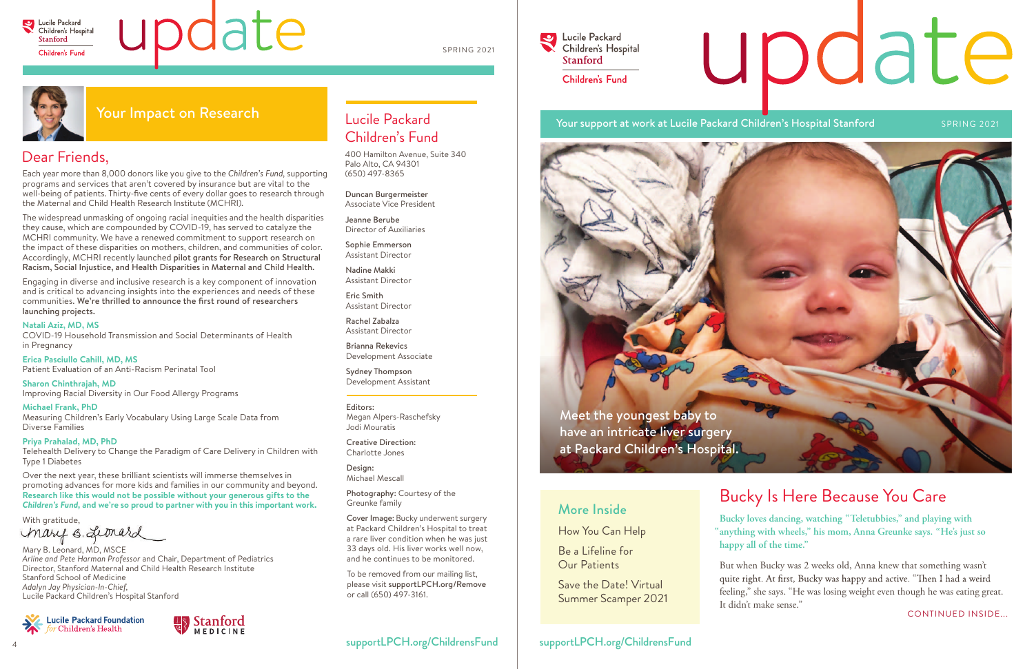

# update

Bucky loves dancing, watching "Teletubbies," and playing with **anything with wheels," his mom, Anna Greunke says. He's just so " " happy all of the time."** 

### Bucky Is Here Because You Care

### More Inside

How You Can Help

Be a Lifeline for Our Patients

Save the Date! Virtual Summer Scamper 2021

### Dear Friends,

Each year more than 8,000 donors like you give to the *Children's Fund,* supporting programs and services that aren't covered by insurance but are vital to the well-being of patients. Thirty-five cents of every dollar goes to research through the Maternal and Child Health Research Institute (MCHRI).

The widespread unmasking of ongoing racial inequities and the health disparities they cause, which are compounded by COVID-19, has served to catalyze the MCHRI community. We have a renewed commitment to support research on the impact of these disparities on mothers, children, and communities of color. Accordingly, MCHRI recently launched pilot grants for Research on Structural Racism, Social Injustice, and Health Disparities in Maternal and Child Health.

With gratitude, mary s. Leonard

Engaging in diverse and inclusive research is a key component of innovation and is critical to advancing insights into the experiences and needs of these communities. We're thrilled to announce the first round of researchers launching projects.

### **Natali Aziz, MD, MS**

COVID-19 Household Transmission and Social Determinants of Health in Pregnancy

**Erica Pasciullo Cahill, MD, MS** Patient Evaluation of an Anti-Racism Perinatal Tool

**Sharon Chinthrajah, MD** Improving Racial Diversity in Our Food Allergy Programs

**Michael Frank, PhD** Measuring Children's Early Vocabulary Using Large Scale Data from Diverse Families

**Priya Prahalad, MD, PhD** Telehealth Delivery to Change the Paradigm of Care Delivery in Children with Type 1 Diabetes

> But when Bucky was 2 weeks old, Anna knew that something wasn't feeling," she says. "He was losing weight even though he was eating great. It didn't make sense." "

# update

Over the next year, these brilliant scientists will immerse themselves in promoting advances for more kids and families in our community and beyond. **Research like this would not be possible without your generous gifts to the**  *Children's Fund,* **and we're so proud to partner with you in this important work.** 

Mary B. Leonard, MD, MSCE *Arline and Pete Harman Professor* and Chair, Department of Pediatrics Director, Stanford Maternal and Child Health Research Institute Stanford School of Medicine *Adalyn Jay Physician-In-Chief,*  Lucile Packard Children's Hospital Stanford





### Lucile Packard Children's Fund

400 Hamilton Avenue, Suite 340 Palo Alto, CA 94301 (650) 497-8365

Duncan Burgermeister Associate Vice President

Jeanne Berube Director of Auxiliaries

Sophie Emmerson Assistant Director

Nadine Makki Assistant Director

Eric Smith Assistant Director

Rachel Zabalza Assistant Director

Brianna Rekevics Development Associate

Sydney Thompson Development Assistant

#### Editors: Megan Alpers-Raschefsky Jodi Mouratis

Creative Direction: Charlotte Jones

Design: Michael Mescall

Photography: Courtesy of the Greunke family

Cover Image: Bucky underwent surgery at Packard Children's Hospital to treat a rare liver condition when he was just 33 days old. His liver works well now, and he continues to be monitored.

To be removed from our mailing list, please visit supportLPCH.org/Remove or call (650) 497-3161.

### supportLPCH.org/ChildrensFund | supportLPCH.org/ChildrensFund

### **Lucile Packard**  $\bullet$ Children's Hospital **Stanford** Children's Fund

### Your support at work at Lucile Packard Children's Hospital Stanford SPRING 2021

### Your Impact on Research

CONTINUED INSIDE...



SPRING 2021